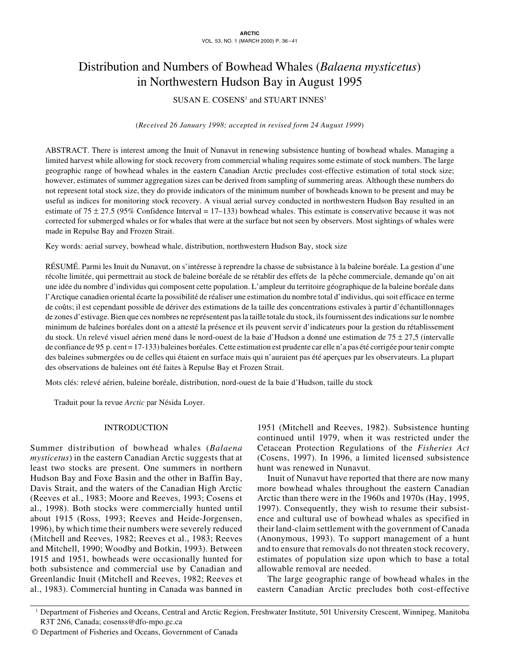# Distribution and Numbers of Bowhead Whales (*Balaena mysticetus*) in Northwestern Hudson Bay in August 1995

# SUSAN E. COSENS<sup>1</sup> and STUART INNES<sup>1</sup>

### (*Received 26 January 1998; accepted in revised form 24 August 1999*)

ABSTRACT. There is interest among the Inuit of Nunavut in renewing subsistence hunting of bowhead whales. Managing a limited harvest while allowing for stock recovery from commercial whaling requires some estimate of stock numbers. The large geographic range of bowhead whales in the eastern Canadian Arctic precludes cost-effective estimation of total stock size; however, estimates of summer aggregation sizes can be derived from sampling of summering areas. Although these numbers do not represent total stock size, they do provide indicators of the minimum number of bowheads known to be present and may be useful as indices for monitoring stock recovery. A visual aerial survey conducted in northwestern Hudson Bay resulted in an estimate of 75  $\pm$  27.5 (95% Confidence Interval = 17–133) bowhead whales. This estimate is conservative because it was not corrected for submerged whales or for whales that were at the surface but not seen by observers. Most sightings of whales were made in Repulse Bay and Frozen Strait.

Key words: aerial survey, bowhead whale, distribution, northwestern Hudson Bay, stock size

RÉSUMÉ. Parmi les Inuit du Nunavut, on s'intéresse à reprendre la chasse de subsistance à la baleine boréale. La gestion d'une récolte limitée, qui permettrait au stock de baleine boréale de se rétablir des effets de la pêche commerciale, demande qu'on ait une idée du nombre d'individus qui composent cette population. L'ampleur du territoire géographique de la baleine boréale dans l'Arctique canadien oriental écarte la possibilité de réaliser une estimation du nombre total d'individus, qui soit efficace en terme de coûts; il est cependant possible de dériver des estimations de la taille des concentrations estivales à partir d'échantillonnages de zones d'estivage. Bien que ces nombres ne représentent pas la taille totale du stock, ils fournissent des indications sur le nombre minimum de baleines boréales dont on a attesté la présence et ils peuvent servir d'indicateurs pour la gestion du rétablissement du stock. Un relevé visuel aérien mené dans le nord-ouest de la baie d'Hudson a donné une estimation de  $75 \pm 27,5$  (intervalle de confiance de 95 p. cent = 17-133) baleines boréales. Cette estimation est prudente car elle n'a pas été corrigée pour tenir compte des baleines submergées ou de celles qui étaient en surface mais qui n'auraient pas été aperçues par les observateurs. La plupart des observations de baleines ont été faites à Repulse Bay et Frozen Strait.

Mots clés: relevé aérien, baleine boréale, distribution, nord-ouest de la baie d'Hudson, taille du stock

Traduit pour la revue *Arctic* par Nésida Loyer.

## INTRODUCTION

Summer distribution of bowhead whales (*Balaena mysticetus*) in the eastern Canadian Arctic suggests that at least two stocks are present. One summers in northern Hudson Bay and Foxe Basin and the other in Baffin Bay, Davis Strait, and the waters of the Canadian High Arctic (Reeves et al., 1983; Moore and Reeves, 1993; Cosens et al., 1998). Both stocks were commercially hunted until about 1915 (Ross, 1993; Reeves and Heide-Jorgensen, 1996), by which time their numbers were severely reduced (Mitchell and Reeves, 1982; Reeves et al., 1983; Reeves and Mitchell, 1990; Woodby and Botkin, 1993). Between 1915 and 1951, bowheads were occasionally hunted for both subsistence and commercial use by Canadian and Greenlandic Inuit (Mitchell and Reeves, 1982; Reeves et al., 1983). Commercial hunting in Canada was banned in 1951 (Mitchell and Reeves, 1982). Subsistence hunting continued until 1979, when it was restricted under the Cetacean Protection Regulations of the *Fisheries Act* (Cosens, 1997). In 1996, a limited licensed subsistence hunt was renewed in Nunavut.

Inuit of Nunavut have reported that there are now many more bowhead whales throughout the eastern Canadian Arctic than there were in the 1960s and 1970s (Hay, 1995, 1997). Consequently, they wish to resume their subsistence and cultural use of bowhead whales as specified in their land-claim settlement with the government of Canada (Anonymous, 1993). To support management of a hunt and to ensure that removals do not threaten stock recovery, estimates of population size upon which to base a total allowable removal are needed.

The large geographic range of bowhead whales in the eastern Canadian Arctic precludes both cost-effective

<sup>&</sup>lt;sup>1</sup> Department of Fisheries and Oceans, Central and Arctic Region, Freshwater Institute, 501 University Crescent, Winnipeg, Manitoba R3T 2N6, Canada; cosenss@dfo-mpo.gc.ca

<sup>©</sup> Department of Fisheries and Oceans, Government of Canada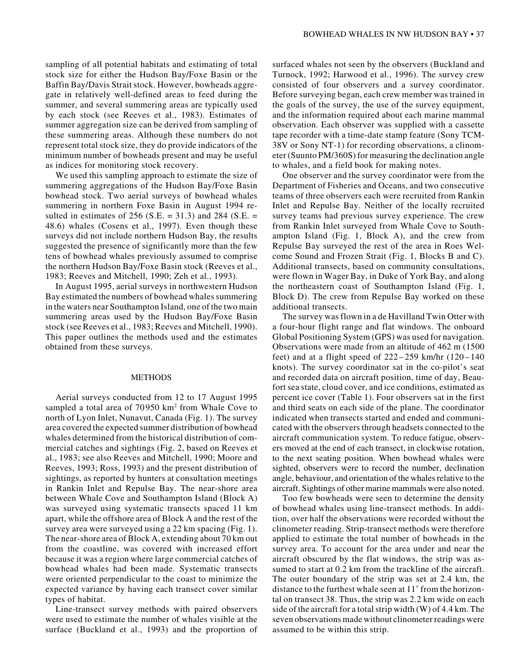sampling of all potential habitats and estimating of total stock size for either the Hudson Bay/Foxe Basin or the Baffin Bay/Davis Strait stock. However, bowheads aggregate in relatively well-defined areas to feed during the summer, and several summering areas are typically used by each stock (see Reeves et al., 1983). Estimates of summer aggregation size can be derived from sampling of these summering areas. Although these numbers do not represent total stock size, they do provide indicators of the minimum number of bowheads present and may be useful as indices for monitoring stock recovery.

We used this sampling approach to estimate the size of summering aggregations of the Hudson Bay/Foxe Basin bowhead stock. Two aerial surveys of bowhead whales summering in northern Foxe Basin in August 1994 resulted in estimates of 256 (S.E. = 31.3) and 284 (S.E. = 48.6) whales (Cosens et al., 1997). Even though these surveys did not include northern Hudson Bay, the results suggested the presence of significantly more than the few tens of bowhead whales previously assumed to comprise the northern Hudson Bay/Foxe Basin stock (Reeves et al., 1983; Reeves and Mitchell, 1990; Zeh et al., 1993).

In August 1995, aerial surveys in northwestern Hudson Bay estimated the numbers of bowhead whales summering in the waters near Southampton Island, one of the two main summering areas used by the Hudson Bay/Foxe Basin stock (see Reeves et al., 1983; Reeves and Mitchell, 1990). This paper outlines the methods used and the estimates obtained from these surveys.

#### METHODS

Aerial surveys conducted from 12 to 17 August 1995 sampled a total area of 70950 km<sup>2</sup> from Whale Cove to north of Lyon Inlet, Nunavut, Canada (Fig. 1). The survey area covered the expected summer distribution of bowhead whales determined from the historical distribution of commercial catches and sightings (Fig. 2, based on Reeves et al., 1983; see also Reeves and Mitchell, 1990; Moore and Reeves, 1993; Ross, 1993) and the present distribution of sightings, as reported by hunters at consultation meetings in Rankin Inlet and Repulse Bay. The near-shore area between Whale Cove and Southampton Island (Block A) was surveyed using systematic transects spaced 11 km apart, while the offshore area of Block A and the rest of the survey area were surveyed using a 22 km spacing (Fig. 1). The near-shore area of Block A, extending about 70 km out from the coastline, was covered with increased effort because it was a region where large commercial catches of bowhead whales had been made. Systematic transects were oriented perpendicular to the coast to minimize the expected variance by having each transect cover similar types of habitat.

Line-transect survey methods with paired observers were used to estimate the number of whales visible at the surface (Buckland et al., 1993) and the proportion of surfaced whales not seen by the observers (Buckland and Turnock, 1992; Harwood et al., 1996). The survey crew consisted of four observers and a survey coordinator. Before surveying began, each crew member was trained in the goals of the survey, the use of the survey equipment, and the information required about each marine mammal observation. Each observer was supplied with a cassette tape recorder with a time-date stamp feature (Sony TCM-38V or Sony NT-1) for recording observations, a clinometer (Suunto PM/360S) for measuring the declination angle to whales, and a field book for making notes.

One observer and the survey coordinator were from the Department of Fisheries and Oceans, and two consecutive teams of three observers each were recruited from Rankin Inlet and Repulse Bay. Neither of the locally recruited survey teams had previous survey experience. The crew from Rankin Inlet surveyed from Whale Cove to Southampton Island (Fig. 1, Block A), and the crew from Repulse Bay surveyed the rest of the area in Roes Welcome Sound and Frozen Strait (Fig. 1, Blocks B and C). Additional transects, based on community consultations, were flown in Wager Bay, in Duke of York Bay, and along the northeastern coast of Southampton Island (Fig. 1, Block D). The crew from Repulse Bay worked on these additional transects.

The survey was flown in a de Havilland Twin Otter with a four-hour flight range and flat windows. The onboard Global Positioning System (GPS) was used for navigation. Observations were made from an altitude of 462 m (1500 feet) and at a flight speed of  $222-259$  km/hr  $(120-140)$ knots). The survey coordinator sat in the co-pilot's seat and recorded data on aircraft position, time of day, Beaufort sea state, cloud cover, and ice conditions, estimated as percent ice cover (Table 1). Four observers sat in the first and third seats on each side of the plane. The coordinator indicated when transects started and ended and communicated with the observers through headsets connected to the aircraft communication system. To reduce fatigue, observers moved at the end of each transect, in clockwise rotation, to the next seating position. When bowhead whales were sighted, observers were to record the number, declination angle, behaviour, and orientation of the whales relative to the aircraft. Sightings of other marine mammals were also noted.

Too few bowheads were seen to determine the density of bowhead whales using line-transect methods. In addition, over half the observations were recorded without the clinometer reading. Strip-transect methods were therefore applied to estimate the total number of bowheads in the survey area. To account for the area under and near the aircraft obscured by the flat windows, the strip was assumed to start at 0.2 km from the trackline of the aircraft. The outer boundary of the strip was set at 2.4 km, the distance to the furthest whale seen at 11˚ from the horizontal on transect 38. Thus, the strip was 2.2 km wide on each side of the aircraft for a total strip width (W) of 4.4 km. The seven observations made without clinometer readings were assumed to be within this strip.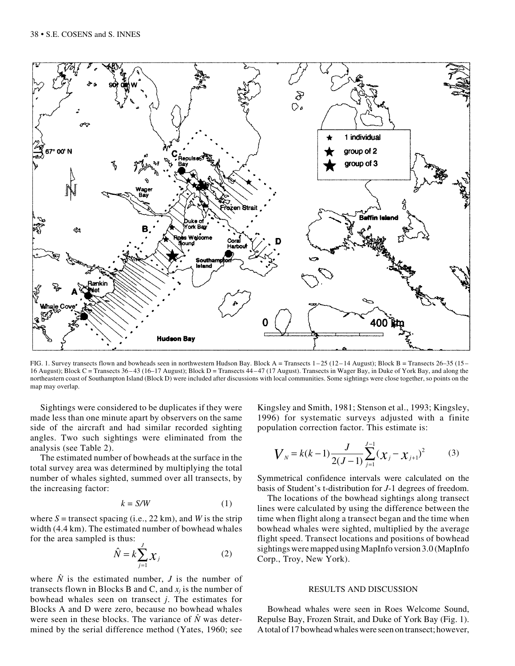

FIG. 1. Survey transects flown and bowheads seen in northwestern Hudson Bay. Block A = Transects  $1-25$  ( $12-14$  August); Block B = Transects  $26-35$  ( $15-$ 16 August); Block C = Transects 36 – 43 (16–17 August); Block D = Transects 44 – 47 (17 August). Transects in Wager Bay, in Duke of York Bay, and along the northeastern coast of Southampton Island (Block D) were included after discussions with local communities. Some sightings were close together, so points on the map may overlap.

Sightings were considered to be duplicates if they were made less than one minute apart by observers on the same side of the aircraft and had similar recorded sighting angles. Two such sightings were eliminated from the analysis (see Table 2).

The estimated number of bowheads at the surface in the total survey area was determined by multiplying the total number of whales sighted, summed over all transects, by the increasing factor:

$$
k = S/W \tag{1}
$$

where  $S =$  transect spacing (i.e., 22 km), and *W* is the strip width (4.4 km). The estimated number of bowhead whales for the area sampled is thus:

$$
\hat{N} = k \sum_{j=1}^{J} \mathcal{X}_j \tag{2}
$$

where  $\hat{N}$  is the estimated number, *J* is the number of transects flown in Blocks B and C, and  $x_i$  is the number of bowhead whales seen on transect *j*. The estimates for Blocks A and D were zero, because no bowhead whales were seen in these blocks. The variance of  $\hat{N}$  was determined by the serial difference method (Yates, 1960; see Kingsley and Smith, 1981; Stenson et al., 1993; Kingsley, 1996) for systematic surveys adjusted with a finite population correction factor. This estimate is:

$$
V_N = k(k-1)\frac{J}{2(J-1)}\sum_{j=1}^{J-1}(\chi_j - \chi_{j+1})^2
$$
 (3)

Symmetrical confidence intervals were calculated on the basis of Student's t-distribution for *J*-1 degrees of freedom.

The locations of the bowhead sightings along transect lines were calculated by using the difference between the time when flight along a transect began and the time when bowhead whales were sighted, multiplied by the average flight speed. Transect locations and positions of bowhead sightings were mapped using MapInfo version 3.0 (MapInfo Corp., Troy, New York).

#### RESULTS AND DISCUSSION

Bowhead whales were seen in Roes Welcome Sound, Repulse Bay, Frozen Strait, and Duke of York Bay (Fig. 1). A total of 17 bowhead whales were seen on transect; however,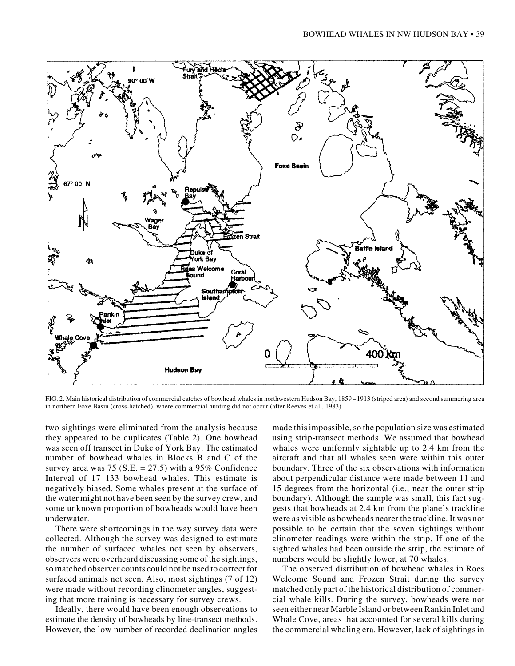

FIG. 2. Main historical distribution of commercial catches of bowhead whales in northwestern Hudson Bay, 1859 – 1913 (striped area) and second summering area in northern Foxe Basin (cross-hatched), where commercial hunting did not occur (after Reeves et al., 1983).

two sightings were eliminated from the analysis because they appeared to be duplicates (Table 2). One bowhead was seen off transect in Duke of York Bay. The estimated number of bowhead whales in Blocks B and C of the survey area was 75 (S.E.  $= 27.5$ ) with a 95% Confidence Interval of 17–133 bowhead whales. This estimate is negatively biased. Some whales present at the surface of the water might not have been seen by the survey crew, and some unknown proportion of bowheads would have been underwater.

There were shortcomings in the way survey data were collected. Although the survey was designed to estimate the number of surfaced whales not seen by observers, observers were overheard discussing some of the sightings, so matched observer counts could not be used to correct for surfaced animals not seen. Also, most sightings (7 of 12) were made without recording clinometer angles, suggesting that more training is necessary for survey crews.

Ideally, there would have been enough observations to estimate the density of bowheads by line-transect methods. However, the low number of recorded declination angles

made this impossible, so the population size was estimated using strip-transect methods. We assumed that bowhead whales were uniformly sightable up to 2.4 km from the aircraft and that all whales seen were within this outer boundary. Three of the six observations with information about perpendicular distance were made between 11 and 15 degrees from the horizontal (i.e., near the outer strip boundary). Although the sample was small, this fact suggests that bowheads at 2.4 km from the plane's trackline were as visible as bowheads nearer the trackline. It was not possible to be certain that the seven sightings without clinometer readings were within the strip. If one of the sighted whales had been outside the strip, the estimate of numbers would be slightly lower, at 70 whales.

The observed distribution of bowhead whales in Roes Welcome Sound and Frozen Strait during the survey matched only part of the historical distribution of commercial whale kills. During the survey, bowheads were not seen either near Marble Island or between Rankin Inlet and Whale Cove, areas that accounted for several kills during the commercial whaling era. However, lack of sightings in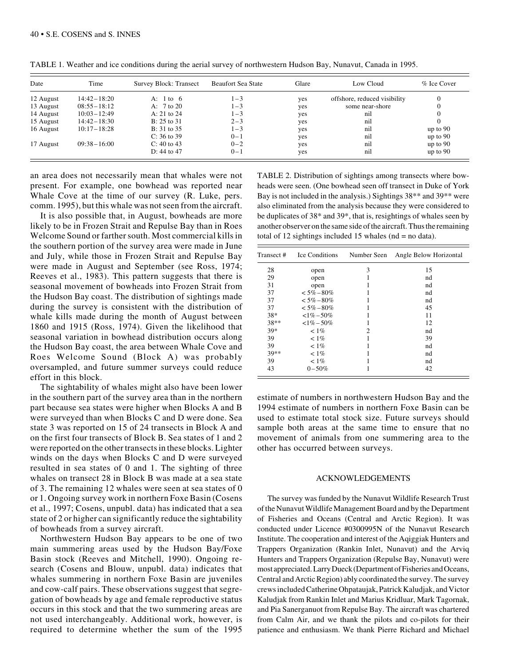| Date      | Time            | Survey Block: Transect | <b>Beaufort Sea State</b> | Glare | Low Cloud                    | % Ice Cover  |
|-----------|-----------------|------------------------|---------------------------|-------|------------------------------|--------------|
| 12 August | $14:42 - 18:20$ | A: 1 to 6              | $1 - 3$                   | yes   | offshore, reduced visibility | $\mathbf{0}$ |
| 13 August | $08:55 - 18:12$ | A: $7 \text{ to } 20$  | $1 - 3$                   | yes   | some near-shore              |              |
| 14 August | $10:03 - 12:49$ | A: $21$ to $24$        | $1 - 3$                   | yes   | nil                          |              |
| 15 August | $14:42 - 18:30$ | $B: 25$ to 31          | $2 - 3$                   | yes   | nil                          |              |
| 16 August | $10:17 - 18:28$ | $B: 31$ to 35          | $1 - 3$                   | yes   | nil                          | up to $90$   |
|           |                 | $C: 36$ to 39          | $0 - 1$                   | yes   | nil                          | up to $90$   |
| 17 August | $09:38 - 16:00$ | $C: 40$ to 43          | $0 - 2$                   | yes   | nil                          | up to $90$   |
|           |                 | D: 44 to 47            | $0 - 1$                   | yes   | nil                          | up to $90$   |

TABLE 1. Weather and ice conditions during the aerial survey of northwestern Hudson Bay, Nunavut, Canada in 1995.

an area does not necessarily mean that whales were not present. For example, one bowhead was reported near Whale Cove at the time of our survey (R. Luke, pers. comm. 1995), but this whale was not seen from the aircraft.

It is also possible that, in August, bowheads are more likely to be in Frozen Strait and Repulse Bay than in Roes Welcome Sound or farther south. Most commercial kills in the southern portion of the survey area were made in June and July, while those in Frozen Strait and Repulse Bay were made in August and September (see Ross, 1974; Reeves et al., 1983). This pattern suggests that there is seasonal movement of bowheads into Frozen Strait from the Hudson Bay coast. The distribution of sightings made during the survey is consistent with the distribution of whale kills made during the month of August between 1860 and 1915 (Ross, 1974). Given the likelihood that seasonal variation in bowhead distribution occurs along the Hudson Bay coast, the area between Whale Cove and Roes Welcome Sound (Block A) was probably oversampled, and future summer surveys could reduce effort in this block.

The sightability of whales might also have been lower in the southern part of the survey area than in the northern part because sea states were higher when Blocks A and B were surveyed than when Blocks C and D were done. Sea state 3 was reported on 15 of 24 transects in Block A and on the first four transects of Block B. Sea states of 1 and 2 were reported on the other transects in these blocks. Lighter winds on the days when Blocks C and D were surveyed resulted in sea states of 0 and 1. The sighting of three whales on transect 28 in Block B was made at a sea state of 3. The remaining 12 whales were seen at sea states of 0 or 1. Ongoing survey work in northern Foxe Basin (Cosens et al., 1997; Cosens, unpubl. data) has indicated that a sea state of 2 or higher can significantly reduce the sightability of bowheads from a survey aircraft.

Northwestern Hudson Bay appears to be one of two main summering areas used by the Hudson Bay/Foxe Basin stock (Reeves and Mitchell, 1990). Ongoing research (Cosens and Blouw, unpubl. data) indicates that whales summering in northern Foxe Basin are juveniles and cow-calf pairs. These observations suggest that segregation of bowheads by age and female reproductive status occurs in this stock and that the two summering areas are not used interchangeably. Additional work, however, is required to determine whether the sum of the 1995

TABLE 2. Distribution of sightings among transects where bowheads were seen. (One bowhead seen off transect in Duke of York Bay is not included in the analysis.) Sightings 38\*\* and 39\*\* were also eliminated from the analysis because they were considered to be duplicates of 38\* and 39\*, that is, resightings of whales seen by another observer on the same side of the aircraft. Thus the remaining total of 12 sightings included 15 whales ( $nd = no$  data).

| Transect# | Ice Conditions | Number Seen | Angle Below Horizontal |
|-----------|----------------|-------------|------------------------|
| 28        | open           | 3           | 15                     |
| 29        | open           |             | nd                     |
| 31        | open           |             | nd                     |
| 37        | $< 5\% - 80\%$ |             | nd                     |
| 37        | $< 5\% - 80\%$ |             | nd                     |
| 37        | $< 5\% - 80\%$ |             | 45                     |
| $38*$     | $<1\% - 50\%$  |             | 11                     |
| 38**      | $< 1\% - 50\%$ |             | 12                     |
| $39*$     | $< 1\%$        | 2           | nd                     |
| 39        | $< 1\%$        |             | 39                     |
| 39        | $< 1\%$        |             | nd                     |
| 39**      | $< 1\%$        |             | nd                     |
| 39        | $< 1\%$        |             | nd                     |
| 43        | $0 - 50\%$     |             | 42                     |

estimate of numbers in northwestern Hudson Bay and the 1994 estimate of numbers in northern Foxe Basin can be used to estimate total stock size. Future surveys should sample both areas at the same time to ensure that no movement of animals from one summering area to the other has occurred between surveys.

#### ACKNOWLEDGEMENTS

The survey was funded by the Nunavut Wildlife Research Trust of the Nunavut Wildlife Management Board and by the Department of Fisheries and Oceans (Central and Arctic Region). It was conducted under Licence #0300995N of the Nunavut Research Institute. The cooperation and interest of the Aqiggiak Hunters and Trappers Organization (Rankin Inlet, Nunavut) and the Arviq Hunters and Trappers Organization (Repulse Bay, Nunavut) were most appreciated. Larry Dueck (Department of Fisheries and Oceans, Central and Arctic Region) ably coordinated the survey. The survey crews included Catherine Ohpataujak, Patrick Kaludjak, and Victor Kaludjak from Rankin Inlet and Marius Kridluar, Mark Tagornak, and Pia Sanerganuot from Repulse Bay. The aircraft was chartered from Calm Air, and we thank the pilots and co-pilots for their patience and enthusiasm. We thank Pierre Richard and Michael